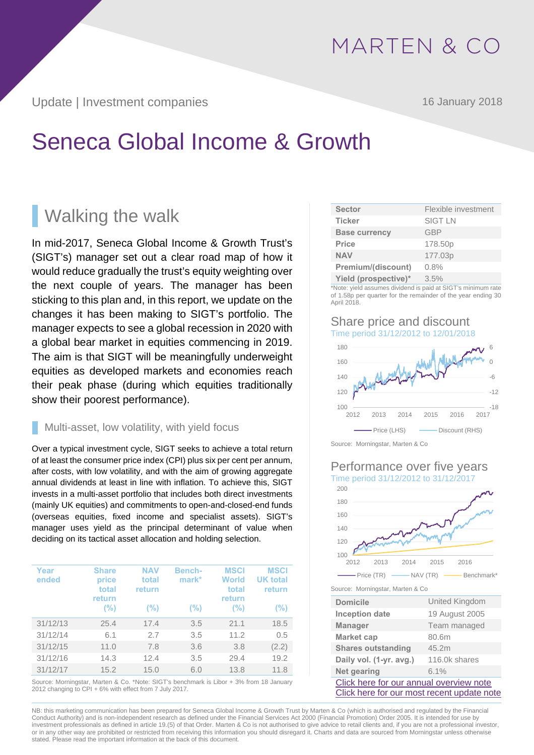Update | Investment companies 16 January 2018

# Seneca Global Income & Growth

## **Walking the walk**

In mid-2017, Seneca Global Income & Growth Trust's (SIGT's) manager set out a clear road map of how it would reduce gradually the trust's equity weighting over the next couple of years. The manager has been sticking to this plan and, in this report, we update on the changes it has been making to SIGT's portfolio. The manager expects to see a global recession in 2020 with a global bear market in equities commencing in 2019. The aim is that SIGT will be meaningfully underweight equities as developed markets and economies reach their peak phase (during which equities traditionally show their poorest performance).

### Multi-asset, low volatility, with yield focus

Over a typical investment cycle, SIGT seeks to achieve a total return of at least the consumer price index (CPI) plus six per cent per annum, after costs, with low volatility, and with the aim of growing aggregate annual dividends at least in line with inflation. To achieve this, SIGT invests in a multi-asset portfolio that includes both direct investments (mainly UK equities) and commitments to open-and-closed-end funds (overseas equities, fixed income and specialist assets). SIGT's manager uses yield as the principal determinant of value when deciding on its tactical asset allocation and holding selection.

| Year<br>ended | <b>Share</b><br>price<br>total<br>return | <b>NAV</b><br>total<br>return | Bench-<br>$mark*$ | <b>MSCI</b><br>World<br>total<br>return | <b>MSCI</b><br><b>UK</b> total<br>return |
|---------------|------------------------------------------|-------------------------------|-------------------|-----------------------------------------|------------------------------------------|
|               | $(\% )$                                  | $(\% )$                       | $(\%)$            | (%)                                     | (%)                                      |
| 31/12/13      | 25.4                                     | 17.4                          | 3.5               | 21.1                                    | 18.5                                     |
| 31/12/14      | 6.1                                      | 2.7                           | 3.5               | 11.2                                    | 0.5                                      |
| 31/12/15      | 11.0                                     | 7.8                           | 3.6               | 3.8                                     | (2.2)                                    |
| 31/12/16      | 14.3                                     | 12.4                          | 3.5               | 29.4                                    | 19.2                                     |
| 31/12/17      | 15.2                                     | 15.0                          | 6.0               | 13.8                                    | 11.8                                     |

Source: Morningstar, Marten & Co. \*Note: SIGT's benchmark is Libor + 3% from 18 January 2012 changing to CPI + 6% with effect from 7 July 2017.

| <b>Sector</b>        | Flexible investment |
|----------------------|---------------------|
| <b>Ticker</b>        | <b>SIGT LN</b>      |
| <b>Base currency</b> | GBP                 |
| Price                | 178.50p             |
| <b>NAV</b>           | 177.03p             |
| Premium/(discount)   | 0.8%                |
| Yield (prospective)* | 3.5%                |

\*Note: yield assumes dividend is paid at SIGT's minimum rate of 1.58p per quarter for the remainder of the year ending 30 April 2018.

### Share price and discount Time period 31/12/2012 to 12/01/2018



Source: Morningstar, Marten & Co

### Performance over five years Time period 31/12/2012 to 31/12/2017



Source: Morningstar, Marten & Co

| <b>Domicile</b>                            | United Kingdom |  |  |  |  |
|--------------------------------------------|----------------|--|--|--|--|
| <b>Inception date</b>                      | 19 August 2005 |  |  |  |  |
| <b>Manager</b>                             | Team managed   |  |  |  |  |
| <b>Market cap</b>                          | 80.6m          |  |  |  |  |
| <b>Shares outstanding</b>                  | 45.2m          |  |  |  |  |
| Daily vol. (1-yr. avg.)                    | 116.0k shares  |  |  |  |  |
| Net gearing<br>6.1%                        |                |  |  |  |  |
| Click here for our annual overview note    |                |  |  |  |  |
| Click here for our most recent update note |                |  |  |  |  |

NB: this marketing communication has been prepared for Seneca Global Income & Growth Trust by Marten & Co (which is authorised and regulated by the Financial Conduct Authority) and is non-independent research as defined under the Financial Services Act 2000 (Financial Promotion) Order 2005. It is intended for use by investment professionals as defined in article 19.(5) of that Order. Marten & Co is not authorised to give advice to retail clients and, if you are not a professional investor, or in any other way are prohibited or restricted from receiving this information you should disregard it. Charts and data are sourced from Morningstar unless otherwise stated. Please read the important information at the back of this document.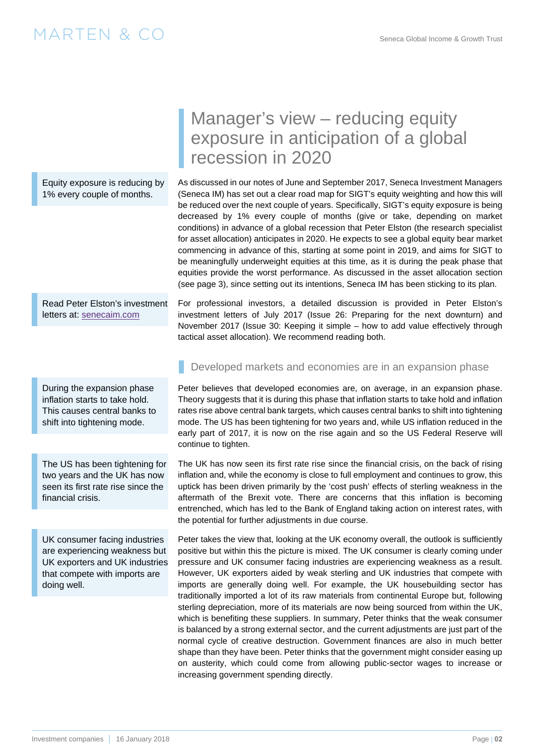Equity exposure is reducing by 1% every couple of months.

Read Peter Elston's investment letters at: [senecaim.com](http://senecaim.com)

During the expansion phase inflation starts to take hold. This causes central banks to shift into tightening mode.

The US has been tightening for two years and the UK has now seen its first rate rise since the financial crisis.

UK consumer facing industries are experiencing weakness but UK exporters and UK industries that compete with imports are doing well.

## Manager's view – reducing equity exposure in anticipation of a global recession in 2020

As discussed in our notes of June and September 2017, Seneca Investment Managers (Seneca IM) has set out a clear road map for SIGT's equity weighting and how this will be reduced over the next couple of years. Specifically, SIGT's equity exposure is being decreased by 1% every couple of months (give or take, depending on market conditions) in advance of a global recession that Peter Elston (the research specialist for asset allocation) anticipates in 2020. He expects to see a global equity bear market commencing in advance of this, starting at some point in 2019, and aims for SIGT to be meaningfully underweight equities at this time, as it is during the peak phase that equities provide the worst performance. As discussed in the asset allocation section ([see page 3\)](#page-2-0), since setting out its intentions, Seneca IM has been sticking to its plan.

For professional investors, a detailed discussion is provided in Peter Elston's investment letters of July 2017 (Issue 26: Preparing for the next downturn) and November 2017 (Issue 30: Keeping it simple – how to add value effectively through tactical asset allocation). We recommend reading both.

### Developed markets and economies are in an expansion phase

Peter believes that developed economies are, on average, in an expansion phase. Theory suggests that it is during this phase that inflation starts to take hold and inflation rates rise above central bank targets, which causes central banks to shift into tightening mode. The US has been tightening for two years and, while US inflation reduced in the early part of 2017, it is now on the rise again and so the US Federal Reserve will continue to tighten.

The UK has now seen its first rate rise since the financial crisis, on the back of rising inflation and, while the economy is close to full employment and continues to grow, this uptick has been driven primarily by the 'cost push' effects of sterling weakness in the aftermath of the Brexit vote. There are concerns that this inflation is becoming entrenched, which has led to the Bank of England taking action on interest rates, with the potential for further adjustments in due course.

Peter takes the view that, looking at the UK economy overall, the outlook is sufficiently positive but within this the picture is mixed. The UK consumer is clearly coming under pressure and UK consumer facing industries are experiencing weakness as a result. However, UK exporters aided by weak sterling and UK industries that compete with imports are generally doing well. For example, the UK housebuilding sector has traditionally imported a lot of its raw materials from continental Europe but, following sterling depreciation, more of its materials are now being sourced from within the UK, which is benefiting these suppliers. In summary, Peter thinks that the weak consumer is balanced by a strong external sector, and the current adjustments are just part of the normal cycle of creative destruction. Government finances are also in much better shape than they have been. Peter thinks that the government might consider easing up on austerity, which could come from allowing public-sector wages to increase or increasing government spending directly.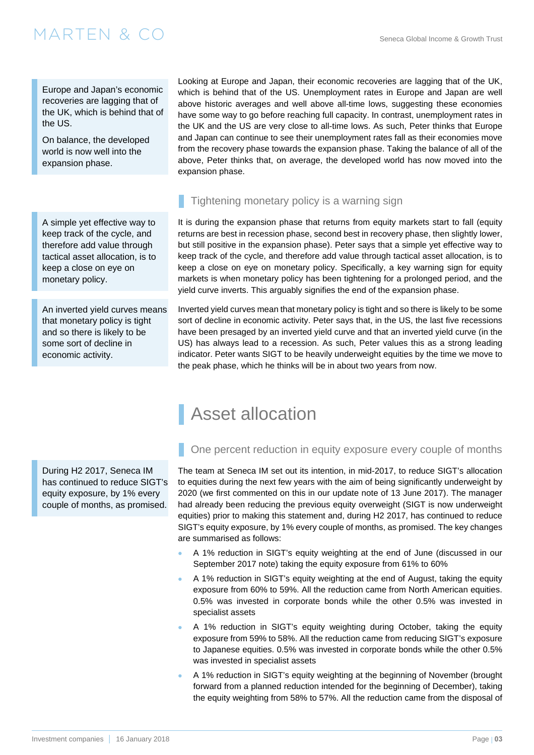<span id="page-2-0"></span>Europe and Japan's economic recoveries are lagging that of the UK, which is behind that of the US.

On balance, the developed world is now well into the expansion phase.

A simple yet effective way to keep track of the cycle, and therefore add value through tactical asset allocation, is to keep a close on eye on monetary policy.

An inverted yield curves means that monetary policy is tight and so there is likely to be some sort of decline in economic activity.

Looking at Europe and Japan, their economic recoveries are lagging that of the UK, which is behind that of the US. Unemployment rates in Europe and Japan are well above historic averages and well above all-time lows, suggesting these economies have some way to go before reaching full capacity. In contrast, unemployment rates in the UK and the US are very close to all-time lows. As such, Peter thinks that Europe and Japan can continue to see their unemployment rates fall as their economies move from the recovery phase towards the expansion phase. Taking the balance of all of the above, Peter thinks that, on average, the developed world has now moved into the expansion phase.

### Tightening monetary policy is a warning sign

Asset allocation

It is during the expansion phase that returns from equity markets start to fall (equity returns are best in recession phase, second best in recovery phase, then slightly lower, but still positive in the expansion phase). Peter says that a simple yet effective way to keep track of the cycle, and therefore add value through tactical asset allocation, is to keep a close on eye on monetary policy. Specifically, a key warning sign for equity markets is when monetary policy has been tightening for a prolonged period, and the yield curve inverts. This arguably signifies the end of the expansion phase.

Inverted yield curves mean that monetary policy is tight and so there is likely to be some sort of decline in economic activity. Peter says that, in the US, the last five recessions have been presaged by an inverted yield curve and that an inverted yield curve (in the US) has always lead to a recession. As such, Peter values this as a strong leading indicator. Peter wants SIGT to be heavily underweight equities by the time we move to the peak phase, which he thinks will be in about two years from now.

### One percent reduction in equity exposure every couple of months During H2 2017, Seneca IM

has continued to reduce SIGT's equity exposure, by 1% every couple of months, as promised.

### The team at Seneca IM set out its intention, in mid-2017, to reduce SIGT's allocation to equities during the next few years with the aim of being significantly underweight by 2020 (we first commented on this in our [update note of 13 June 2017\)](http://martenandco.com/wp-content/uploads/2017/06/170613-SIGT-Update-MC.pdf). The manager

had already been reducing the previous equity overweight (SIGT is now underweight equities) prior to making this statement and, during H2 2017, has continued to reduce SIGT's equity exposure, by 1% every couple of months, as promised. The key changes are summarised as follows:

- A 1% reduction in SIGT's equity weighting at the end of June (discussed in our [September 2017 note\)](http://martenandco.com/wp-content/uploads/2017/09/170913-SIGT-Update-MC.pdf) taking the equity exposure from 61% to 60%
- A 1% reduction in SIGT's equity weighting at the end of August, taking the equity exposure from 60% to 59%. All the reduction came from North American equities. 0.5% was invested in corporate bonds while the other 0.5% was invested in specialist assets
- A 1% reduction in SIGT's equity weighting during October, taking the equity exposure from 59% to 58%. All the reduction came from reducing SIGT's exposure to Japanese equities. 0.5% was invested in corporate bonds while the other 0.5% was invested in specialist assets
- A 1% reduction in SIGT's equity weighting at the beginning of November (brought forward from a planned reduction intended for the beginning of December), taking the equity weighting from 58% to 57%. All the reduction came from the disposal of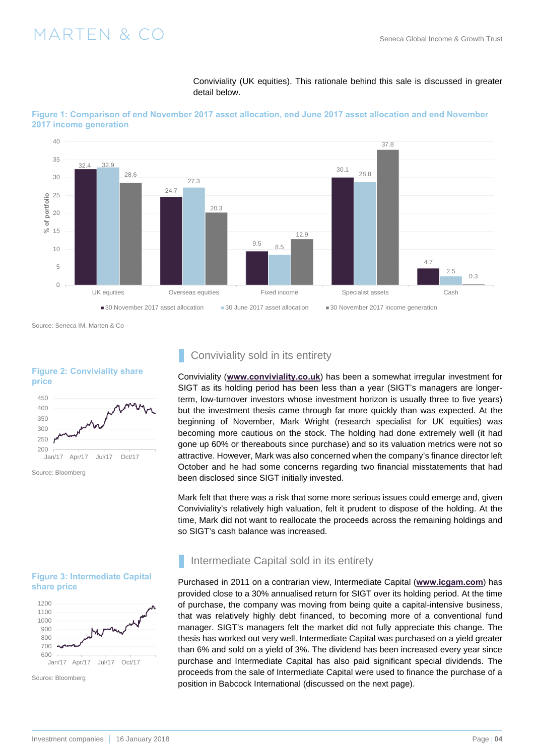

**Figure 1: Comparison of end November 2017 asset allocation, end June 2017 asset allocation and end November** 

detail below.

Conviviality (UK equities). This rationale behind this sale is discussed in greater

Source: Seneca IM, Marten & Co

### **Figure 2: Conviviality share price**



### Conviviality sold in its entirety

Conviviality (**www.conviviality.co.uk**) has been a somewhat irregular investment for SIGT as its holding period has been less than a year (SIGT's managers are longerterm, low-turnover investors whose investment horizon is usually three to five years) but the investment thesis came through far more quickly than was expected. At the beginning of November, Mark Wright (research specialist for UK equities) was becoming more cautious on the stock. The holding had done extremely well (it had gone up 60% or thereabouts since purchase) and so its valuation metrics were not so attractive. However, Mark was also concerned when the company's finance director left October and he had some concerns regarding two financial misstatements that had been disclosed since SIGT initially invested.

Mark felt that there was a risk that some more serious issues could emerge and, given Conviviality's relatively high valuation, felt it prudent to dispose of the holding. At the time, Mark did not want to reallocate the proceeds across the remaining holdings and so SIGT's cash balance was increased.

### **Figure 3: Intermediate Capital share price**



Source: Bloomberg

### Intermediate Capital sold in its entirety

Purchased in 2011 on a contrarian view, Intermediate Capital (**www.icgam.com**) has provided close to a 30% annualised return for SIGT over its holding period. At the time of purchase, the company was moving from being quite a capital-intensive business, that was relatively highly debt financed, to becoming more of a conventional fund manager. SIGT's managers felt the market did not fully appreciate this change. The thesis has worked out very well. Intermediate Capital was purchased on a yield greater than 6% and sold on a yield of 3%. The dividend has been increased every year since purchase and Intermediate Capital has also paid significant special dividends. The proceeds from the sale of Intermediate Capital were used to finance the purchase of a position in Babcock International ([discussed on the next page\)](#page-4-0).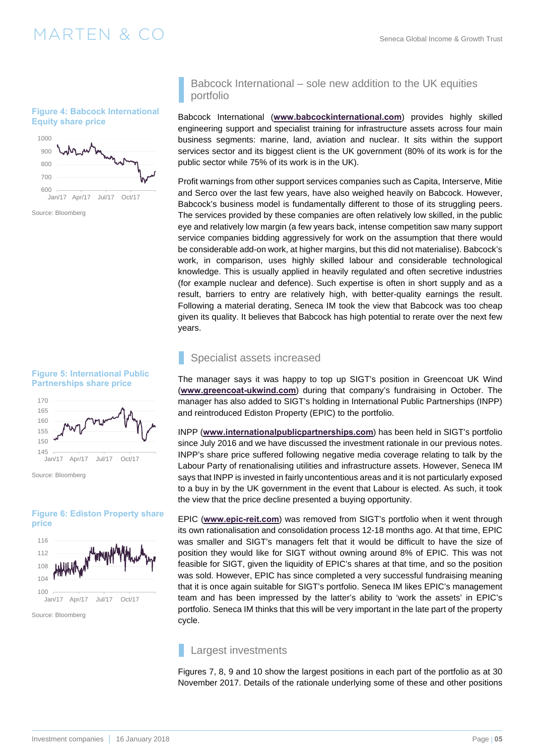#### <span id="page-4-0"></span>**Figure 4: Babcock International Equity share price**



Source: Bloomberg





### **Figure 6: Ediston Property share price**



### Babcock International – sole new addition to the UK equities portfolio

Babcock International (**www.babcockinternational.com**) provides highly skilled engineering support and specialist training for infrastructure assets across four main business segments: marine, land, aviation and nuclear. It sits within the support services sector and its biggest client is the UK government (80% of its work is for the public sector while 75% of its work is in the UK).

Profit warnings from other support services companies such as Capita, Interserve, Mitie and Serco over the last few years, have also weighed heavily on Babcock. However, Babcock's business model is fundamentally different to those of its struggling peers. The services provided by these companies are often relatively low skilled, in the public eye and relatively low margin (a few years back, intense competition saw many support service companies bidding aggressively for work on the assumption that there would be considerable add-on work, at higher margins, but this did not materialise). Babcock's work, in comparison, uses highly skilled labour and considerable technological knowledge. This is usually applied in heavily regulated and often secretive industries (for example nuclear and defence). Such expertise is often in short supply and as a result, barriers to entry are relatively high, with better-quality earnings the result. Following a material derating, Seneca IM took the view that Babcock was too cheap given its quality. It believes that Babcock has high potential to rerate over the next few years.

### Specialist assets increased

The manager says it was happy to top up SIGT's position in Greencoat UK Wind (**www.greencoat-ukwind.com**) during that company's fundraising in October. The manager has also added to SIGT's holding in International Public Partnerships (INPP) and reintroduced Ediston Property (EPIC) to the portfolio.

INPP (**www.internationalpublicpartnerships.com**) has been held in SIGT's portfolio since July 2016 and we have discussed the investment rationale in our previous notes. INPP's share price suffered following negative media coverage relating to talk by the Labour Party of renationalising utilities and infrastructure assets. However, Seneca IM says that INPP is invested in fairly uncontentious areas and it is not particularly exposed to a buy in by the UK government in the event that Labour is elected. As such, it took the view that the price decline presented a buying opportunity.

EPIC (**www.epic-reit.com**) was removed from SIGT's portfolio when it went through its own rationalisation and consolidation process 12-18 months ago. At that time, EPIC was smaller and SIGT's managers felt that it would be difficult to have the size of position they would like for SIGT without owning around 8% of EPIC. This was not feasible for SIGT, given the liquidity of EPIC's shares at that time, and so the position was sold. However, EPIC has since completed a very successful fundraising meaning that it is once again suitable for SIGT's portfolio. Seneca IM likes EPIC's management team and has been impressed by the latter's ability to 'work the assets' in EPIC's portfolio. Seneca IM thinks that this will be very important in the late part of the property cycle.

### Largest investments

[Figures 7, 8, 9 and 10](#page-5-0) show the largest positions in each part of the portfolio as at 30 November 2017. Details of the rationale underlying some of these and other positions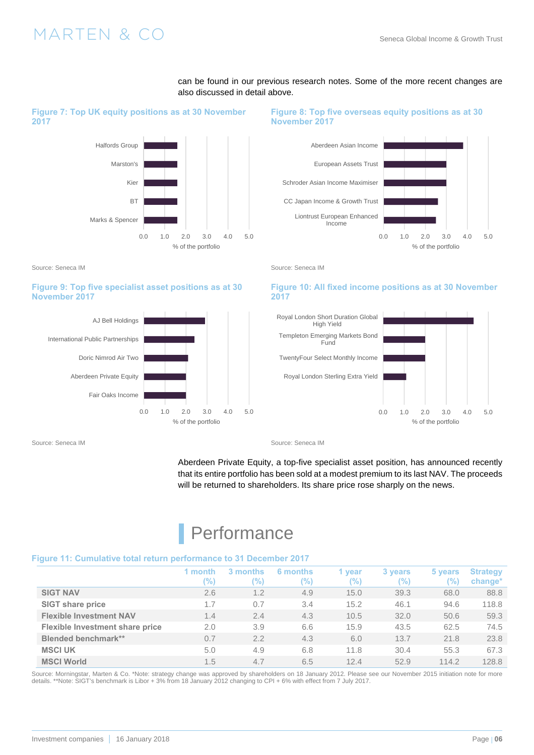

<span id="page-5-0"></span>**Figure 7: Top UK equity positions as at 30 November 2017** 

#### Source: Seneca IM Source: Seneca IM Source: Seneca IM Source: Seneca IM

### **Figure 9: Top five specialist asset positions as at 30 November 2017**



also discussed in detail above. **Figure 8: Top five overseas equity positions as at 30** 

can be found in our previous research notes. Some of the more recent changes are

### **November 2017**



### **Figure 10: All fixed income positions as at 30 November 2017**



Source: Seneca IM Source: Seneca IM Source: Seneca IM Source: Seneca IM

Aberdeen Private Equity, a top-five specialist asset position, has announced recently that its entire portfolio has been sold at a modest premium to its last NAV. The proceeds will be returned to shareholders. Its share price rose sharply on the news.

## **Performance**

### **Figure 11: Cumulative total return performance to 31 December 2017**

|                                 | month<br>'%) | 3 months<br>$\%$ | 6 months<br>%) | <b>vear</b><br>(%) | 3 years<br>(%) | 5 years<br>'%) | <b>Strategy</b><br>change <sup>*</sup> |
|---------------------------------|--------------|------------------|----------------|--------------------|----------------|----------------|----------------------------------------|
| <b>SIGT NAV</b>                 | 2.6          | 1.2              | 4.9            | 15.0               | 39.3           | 68.0           | 88.8                                   |
| <b>SIGT share price</b>         | 1.7          | 0.7              | 3.4            | 15.2               | 46.1           | 94.6           | 118.8                                  |
| <b>Flexible Investment NAV</b>  | 1.4          | 2.4              | 4.3            | 10.5               | 32.0           | 50.6           | 59.3                                   |
| Flexible Investment share price | 2.0          | 3.9              | 6.6            | 15.9               | 43.5           | 62.5           | 74.5                                   |
| <b>Blended benchmark**</b>      | 0.7          | 2.2              | 4.3            | 6.0                | 13.7           | 21.8           | 23.8                                   |
| <b>MSCI UK</b>                  | 5.0          | 4.9              | 6.8            | 11.8               | 30.4           | 55.3           | 67.3                                   |
| <b>MSCI World</b>               | 1.5          | 4.7              | 6.5            | 12.4               | 52.9           | 114.2          | 128.8                                  |

Source: Morningstar, Marten & Co. \*Note: strategy change was approved by shareholders on 18 January 2012. Please see our [November 2015 initiation note](http://martenandco.com/wp-content/uploads/2015/11/151102-Seneca-Global-MC.pdf) for more details. \*\*Note: SIGT's benchmark is Libor + 3% from 18 January 2012 changing to CPI + 6% with effect from 7 July 2017.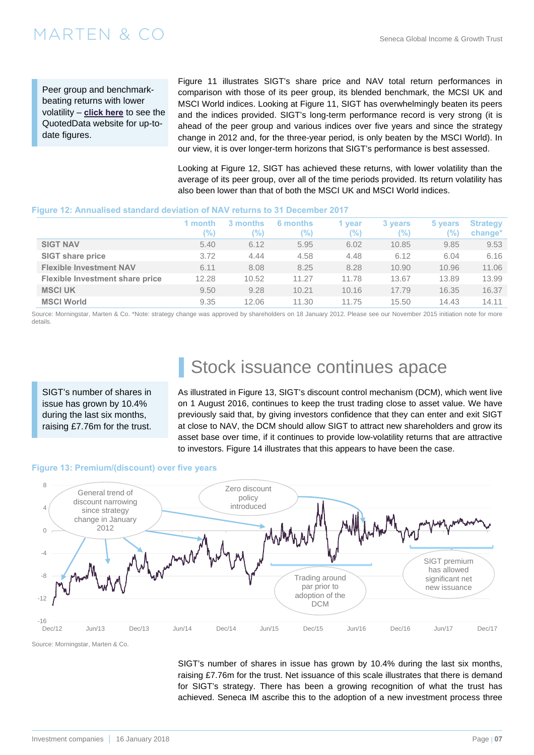Peer group and benchmarkbeating returns with lower volatility – **[click here](https://quoteddata.com/sector/flexible-investment/)** to see the QuotedData website for up-todate figures.

[Figure 11](#page-5-0) illustrates SIGT's share price and NAV total return performances in comparison with those of its peer group, its blended benchmark, the MCSI UK and MSCI World indices. Looking at [Figure 11,](#page-5-0) SIGT has overwhelmingly beaten its peers and the indices provided. SIGT's long-term performance record is very strong (it is ahead of the peer group and various indices over five years and since the strategy change in 2012 and, for the three-year period, is only beaten by the MSCI World). In our view, it is over longer-term horizons that SIGT's performance is best assessed.

Looking at Figure 12, SIGT has achieved these returns, with lower volatility than the average of its peer group, over all of the time periods provided. Its return volatility has also been lower than that of both the MSCI UK and MSCI World indices.

### **Figure 12: Annualised standard deviation of NAV returns to 31 December 2017**

|                                        | 1 month<br>'%) | 3 months<br>$\frac{1}{2}$ | 6 months<br>$\frac{1}{2}$ | vear<br>'%) | 3 years<br>(%) | 5 years<br>$\frac{10}{2}$ | <b>Strategy</b><br>change <sup>*</sup> |
|----------------------------------------|----------------|---------------------------|---------------------------|-------------|----------------|---------------------------|----------------------------------------|
| <b>SIGT NAV</b>                        | 5.40           | 6.12                      | 5.95                      | 6.02        | 10.85          | 9.85                      | 9.53                                   |
| <b>SIGT share price</b>                | 3.72           | 4.44                      | 4.58                      | 4.48        | 6.12           | 6.04                      | 6.16                                   |
| <b>Flexible Investment NAV</b>         | 6.11           | 8.08                      | 8.25                      | 8.28        | 10.90          | 10.96                     | 11.06                                  |
| <b>Flexible Investment share price</b> | 12.28          | 10.52                     | 11.27                     | 11.78       | 13.67          | 13.89                     | 13.99                                  |
| <b>MSCI UK</b>                         | 9.50           | 9.28                      | 10.21                     | 10.16       | 17.79          | 16.35                     | 16.37                                  |
| <b>MSCI World</b>                      | 9.35           | 12.06                     | 11.30                     | 11.75       | 15.50          | 14.43                     | 14.11                                  |

Source: Morningstar, Marten & Co. \*Note: strategy change was approved by shareholders on 18 January 2012. Please see [our November 2015 initiation note](http://martenandco.com/wp-content/uploads/2015/11/151102-Seneca-Global-MC.pdf) for more details.

SIGT's number of shares in issue has grown by 10.4% during the last six months, raising £7.76m for the trust.

## Stock issuance continues apace

As illustrated in Figure 13, SIGT's discount control mechanism (DCM), which went live on 1 August 2016, continues to keep the trust trading close to asset value. We have previously said that, by giving investors confidence that they can enter and exit SIGT at close to NAV, the DCM should allow SIGT to attract new shareholders and grow its asset base over time, if it continues to provide low-volatility returns that are attractive to investors. [Figure 14](#page-7-0) illustrates that this appears to have been the case.

### **Figure 13: Premium/(discount) over five years**



Source: Morningstar, Marten & Co.

SIGT's number of shares in issue has grown by 10.4% during the last six months, raising £7.76m for the trust. Net issuance of this scale illustrates that there is demand for SIGT's strategy. There has been a growing recognition of what the trust has achieved. Seneca IM ascribe this to the adoption of a new investment process three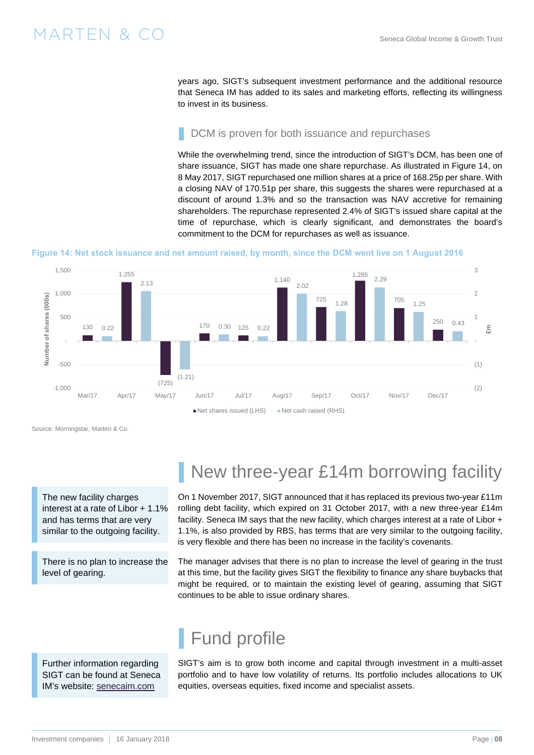<span id="page-7-0"></span>years ago, SIGT's subsequent investment performance and the additional resource that Seneca IM has added to its sales and marketing efforts, reflecting its willingness to invest in its business.

### DCM is proven for both issuance and repurchases

While the overwhelming trend, since the introduction of SIGT's DCM, has been one of share issuance, SIGT has made one share repurchase. As illustrated in Figure 14, on 8 May 2017, SIGT repurchased one million shares at a price of 168.25p per share. With a closing NAV of 170.51p per share, this suggests the shares were repurchased at a discount of around 1.3% and so the transaction was NAV accretive for remaining shareholders. The repurchase represented 2.4% of SIGT's issued share capital at the time of repurchase, which is clearly significant, and demonstrates the board's commitment to the DCM for repurchases as well as issuance.

### **Figure 14: Net stock issuance and net amount raised, by month, since the DCM went live on 1 August 2016**



Source: Morningstar, Marten & Co.

The new facility charges interest at a rate of Libor + 1.1% and has terms that are very similar to the outgoing facility.

There is no plan to increase the level of gearing.

## New three-year £14m borrowing facility

On 1 November 2017, SIGT announced that it has replaced its previous two-year £11m rolling debt facility, which expired on 31 October 2017, with a new three-year £14m facility. Seneca IM says that the new facility, which charges interest at a rate of Libor + 1.1%, is also provided by RBS, has terms that are very similar to the outgoing facility, is very flexible and there has been no increase in the facility's covenants.

The manager advises that there is no plan to increase the level of gearing in the trust at this time, but the facility gives SIGT the flexibility to finance any share buybacks that might be required, or to maintain the existing level of gearing, assuming that SIGT continues to be able to issue ordinary shares.

### Further information regarding SIGT can be found at Seneca IM's website: [senecaim.com](http://senecaim.com)

## Fund profile

SIGT's aim is to grow both income and capital through investment in a multi-asset portfolio and to have low volatility of returns. Its portfolio includes allocations to UK equities, overseas equities, fixed income and specialist assets.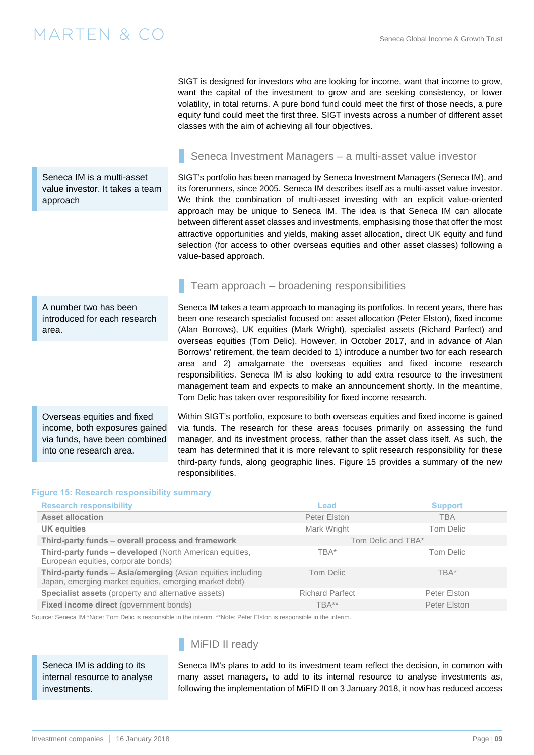Seneca IM is a multi-asset value investor. It takes a team approach

### Seneca Investment Managers – a multi-asset value investor

SIGT is designed for investors who are looking for income, want that income to grow, want the capital of the investment to grow and are seeking consistency, or lower volatility, in total returns. A pure bond fund could meet the first of those needs, a pure equity fund could meet the first three. SIGT invests across a number of different asset

SIGT's portfolio has been managed by Seneca Investment Managers (Seneca IM), and its forerunners, since 2005. Seneca IM describes itself as a multi-asset value investor. We think the combination of multi-asset investing with an explicit value-oriented approach may be unique to Seneca IM. The idea is that Seneca IM can allocate between different asset classes and investments, emphasising those that offer the most attractive opportunities and yields, making asset allocation, direct UK equity and fund selection (for access to other overseas equities and other asset classes) following a value-based approach.

### Team approach – broadening responsibilities

classes with the aim of achieving all four objectives.

A number two has been introduced for each research area.

Overseas equities and fixed income, both exposures gained via funds, have been combined into one research area.

Seneca IM takes a team approach to managing its portfolios. In recent years, there has been one research specialist focused on: asset allocation (Peter Elston), fixed income (Alan Borrows), UK equities (Mark Wright), specialist assets (Richard Parfect) and overseas equities (Tom Delic). However, in October 2017, and in advance of Alan Borrows' retirement, the team decided to 1) introduce a number two for each research area and 2) amalgamate the overseas equities and fixed income research responsibilities. Seneca IM is also looking to add extra resource to the investment management team and expects to make an announcement shortly. In the meantime, Tom Delic has taken over responsibility for fixed income research.

Within SIGT's portfolio, exposure to both overseas equities and fixed income is gained via funds. The research for these areas focuses primarily on assessing the fund manager, and its investment process, rather than the asset class itself. As such, the team has determined that it is more relevant to split research responsibility for these third-party funds, along geographic lines. Figure 15 provides a summary of the new responsibilities.

### **Figure 15: Research responsibility summary**

| <b>Research responsibility</b>                                                                                        | Lead                   | <b>Support</b>     |
|-----------------------------------------------------------------------------------------------------------------------|------------------------|--------------------|
| <b>Asset allocation</b>                                                                                               | Peter Elston           | <b>TBA</b>         |
| <b>UK equities</b>                                                                                                    | Mark Wright            | Tom Delic          |
| Third-party funds - overall process and framework                                                                     |                        | Tom Delic and TBA* |
| Third-party funds - developed (North American equities,<br>European equities, corporate bonds)                        | TBA*                   | Tom Delic          |
| Third-party funds - Asia/emerging (Asian equities including<br>Japan, emerging market equities, emerging market debt) | Tom Delic              | TBA*               |
| Specialist assets (property and alternative assets)                                                                   | <b>Richard Parfect</b> | Peter Elston       |
| Fixed income direct (government bonds)                                                                                | TBA**                  | Peter Elston       |

Source: Seneca IM \*Note: Tom Delic is responsible in the interim. \*\*Note: Peter Elston is responsible in the interim.

Seneca IM is adding to its internal resource to analyse investments.

### MiFID II ready

Seneca IM's plans to add to its investment team reflect the decision, in common with many asset managers, to add to its internal resource to analyse investments as, following the implementation of MiFID II on 3 January 2018, it now has reduced access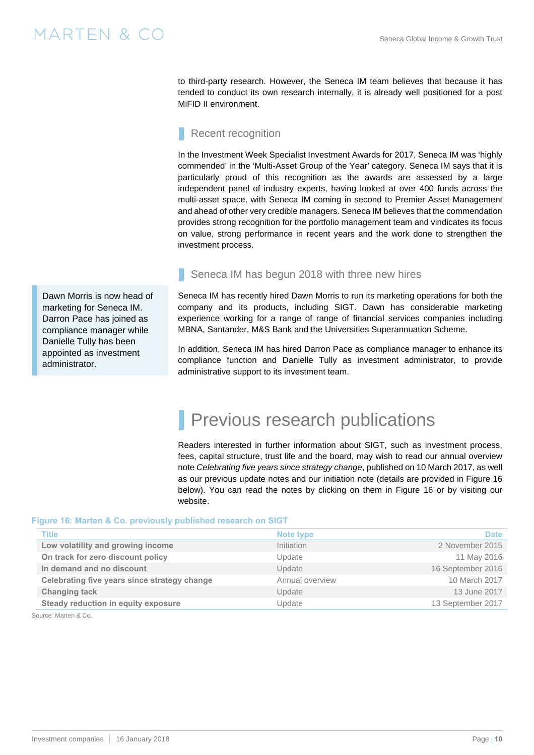to third-party research. However, the Seneca IM team believes that because it has tended to conduct its own research internally, it is already well positioned for a post MiFID II environment.

### Recent recognition

In the Investment Week Specialist Investment Awards for 2017, Seneca IM was 'highly commended' in the 'Multi-Asset Group of the Year' category. Seneca IM says that it is particularly proud of this recognition as the awards are assessed by a large independent panel of industry experts, having looked at over 400 funds across the multi-asset space, with Seneca IM coming in second to Premier Asset Management and ahead of other very credible managers. Seneca IM believes that the commendation provides strong recognition for the portfolio management team and vindicates its focus on value, strong performance in recent years and the work done to strengthen the investment process.

Dawn Morris is now head of marketing for Seneca IM. Darron Pace has joined as compliance manager while Danielle Tully has been appointed as investment administrator.

### Seneca IM has begun 2018 with three new hires

Seneca IM has recently hired Dawn Morris to run its marketing operations for both the company and its products, including SIGT. Dawn has considerable marketing experience working for a range of range of financial services companies including MBNA, Santander, M&S Bank and the Universities Superannuation Scheme.

In addition, Seneca IM has hired Darron Pace as compliance manager to enhance its compliance function and Danielle Tully as investment administrator, to provide administrative support to its investment team.

## Previous research publications

Readers interested in further information about SIGT, such as investment process, fees, capital structure, trust life and the board, may wish to read [our annual overview](http://martenandco.com/wp-content/uploads/2017/03/170310-SIGT-Annual-Overview-MC1.pdf)  note *[Celebrating five years since strategy change](http://martenandco.com/wp-content/uploads/2017/03/170310-SIGT-Annual-Overview-MC1.pdf)*, published on 10 March 2017, as well as our previous update notes and our initiation note (details are provided in Figure 16 below). You can read the notes by clicking on them in Figure 16 or by visiting our website.

### **Figure 16: Marten & Co. previously published research on SIGT**

| <b>Title</b>                                 | Note type       | <b>Date</b>       |
|----------------------------------------------|-----------------|-------------------|
| Low volatility and growing income            | Initiation      | 2 November 2015   |
| On track for zero discount policy            | Update          | 11 May 2016       |
| In demand and no discount                    | Update          | 16 September 2016 |
| Celebrating five years since strategy change | Annual overview | 10 March 2017     |
| <b>Changing tack</b>                         | Update          | 13 June 2017      |
| Steady reduction in equity exposure          | Update          | 13 September 2017 |
|                                              |                 |                   |

Source: Marten & Co.